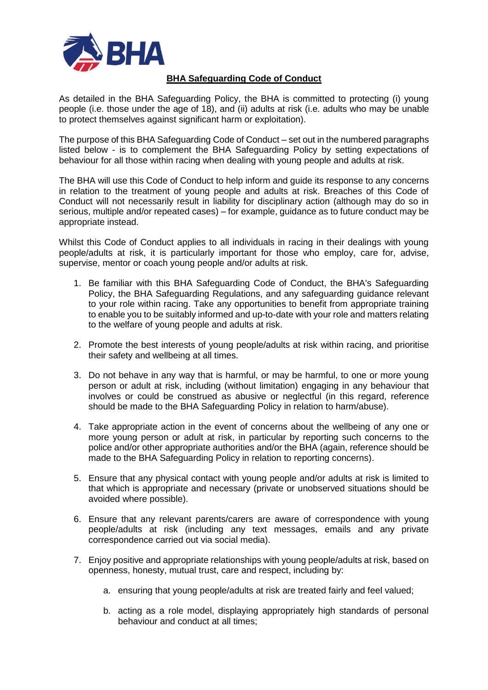

## **BHA Safeguarding Code of Conduct**

As detailed in the BHA Safeguarding Policy, the BHA is committed to protecting (i) young people (i.e. those under the age of 18), and (ii) adults at risk (i.e. adults who may be unable to protect themselves against significant harm or exploitation).

The purpose of this BHA Safeguarding Code of Conduct – set out in the numbered paragraphs listed below - is to complement the BHA Safeguarding Policy by setting expectations of behaviour for all those within racing when dealing with young people and adults at risk.

The BHA will use this Code of Conduct to help inform and guide its response to any concerns in relation to the treatment of young people and adults at risk. Breaches of this Code of Conduct will not necessarily result in liability for disciplinary action (although may do so in serious, multiple and/or repeated cases) – for example, guidance as to future conduct may be appropriate instead.

Whilst this Code of Conduct applies to all individuals in racing in their dealings with young people/adults at risk, it is particularly important for those who employ, care for, advise, supervise, mentor or coach young people and/or adults at risk.

- 1. Be familiar with this BHA Safeguarding Code of Conduct, the BHA's Safeguarding Policy, the BHA Safeguarding Regulations, and any safeguarding guidance relevant to your role within racing. Take any opportunities to benefit from appropriate training to enable you to be suitably informed and up-to-date with your role and matters relating to the welfare of young people and adults at risk.
- 2. Promote the best interests of young people/adults at risk within racing, and prioritise their safety and wellbeing at all times.
- 3. Do not behave in any way that is harmful, or may be harmful, to one or more young person or adult at risk, including (without limitation) engaging in any behaviour that involves or could be construed as abusive or neglectful (in this regard, reference should be made to the BHA Safeguarding Policy in relation to harm/abuse).
- 4. Take appropriate action in the event of concerns about the wellbeing of any one or more young person or adult at risk, in particular by reporting such concerns to the police and/or other appropriate authorities and/or the BHA (again, reference should be made to the BHA Safeguarding Policy in relation to reporting concerns).
- 5. Ensure that any physical contact with young people and/or adults at risk is limited to that which is appropriate and necessary (private or unobserved situations should be avoided where possible).
- 6. Ensure that any relevant parents/carers are aware of correspondence with young people/adults at risk (including any text messages, emails and any private correspondence carried out via social media).
- 7. Enjoy positive and appropriate relationships with young people/adults at risk, based on openness, honesty, mutual trust, care and respect, including by:
	- a. ensuring that young people/adults at risk are treated fairly and feel valued;
	- b. acting as a role model, displaying appropriately high standards of personal behaviour and conduct at all times;